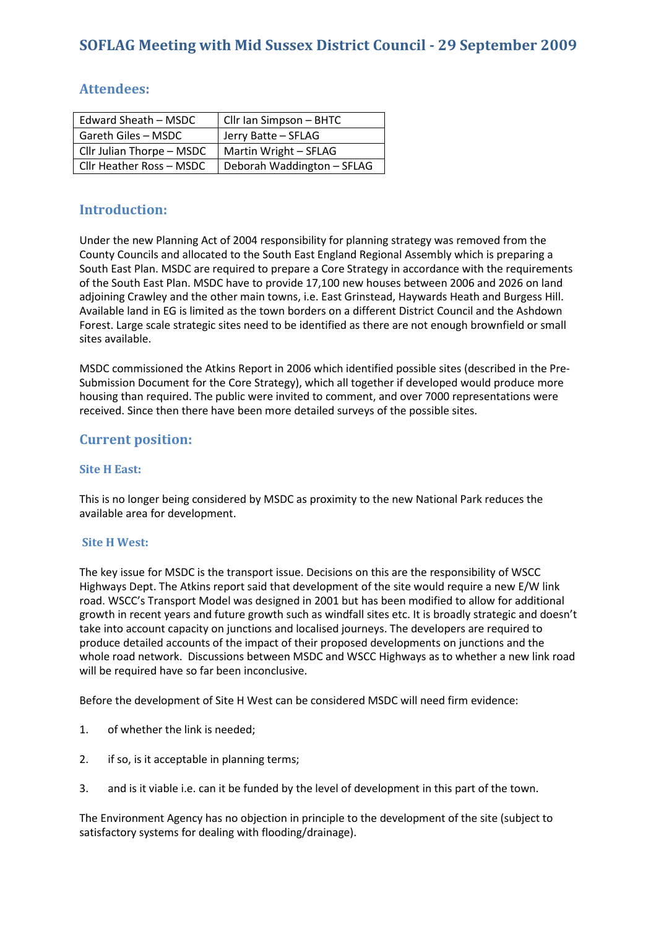| Edward Sheath - MSDC       | Cllr Ian Simpson - BHTC    |
|----------------------------|----------------------------|
| <b>Gareth Giles - MSDC</b> | Jerry Batte - SFLAG        |
| Cllr Julian Thorpe - MSDC  | Martin Wright - SFLAG      |
| Cllr Heather Ross - MSDC   | Deborah Waddington - SFLAG |

# Attendees:

# Introduction:

Under the new Planning Act of 2004 responsibility for planning strategy was removed from the County Councils and allocated to the South East England Regional Assembly which is preparing a South East Plan. MSDC are required to prepare a Core Strategy in accordance with the requirements of the South East Plan. MSDC have to provide 17,100 new houses between 2006 and 2026 on land adjoining Crawley and the other main towns, i.e. East Grinstead, Haywards Heath and Burgess Hill. Available land in EG is limited as the town borders on a different District Council and the Ashdown Forest. Large scale strategic sites need to be identified as there are not enough brownfield or small sites available.

MSDC commissioned the Atkins Report in 2006 which identified possible sites (described in the Pre-Submission Document for the Core Strategy), which all together if developed would produce more housing than required. The public were invited to comment, and over 7000 representations were received. Since then there have been more detailed surveys of the possible sites.

### Current position:

#### Site H East:

This is no longer being considered by MSDC as proximity to the new National Park reduces the available area for development.

#### Site H West:

The key issue for MSDC is the transport issue. Decisions on this are the responsibility of WSCC Highways Dept. The Atkins report said that development of the site would require a new E/W link road. WSCC's Transport Model was designed in 2001 but has been modified to allow for additional growth in recent years and future growth such as windfall sites etc. It is broadly strategic and doesn't take into account capacity on junctions and localised journeys. The developers are required to produce detailed accounts of the impact of their proposed developments on junctions and the whole road network. Discussions between MSDC and WSCC Highways as to whether a new link road will be required have so far been inconclusive.

Before the development of Site H West can be considered MSDC will need firm evidence:

- 1. of whether the link is needed;
- 2. if so, is it acceptable in planning terms;
- 3. and is it viable i.e. can it be funded by the level of development in this part of the town.

The Environment Agency has no objection in principle to the development of the site (subject to satisfactory systems for dealing with flooding/drainage).